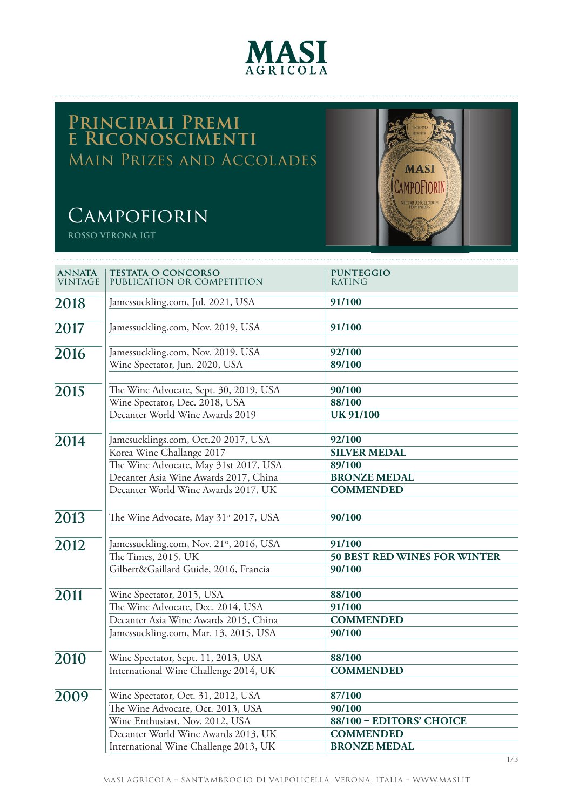

## **Principali Premi e Riconoscimenti** Main Prizes and Accolades

# **CAMPOFIORIN**

**ROSSO VERONA IGT**



| <b>ANNATA</b><br>VINTAGE | <b>TESTATA O CONCORSO</b><br>PUBLICATION OR COMPETITION            | <b>PUNTEGGIO</b><br><b>RATING</b>   |
|--------------------------|--------------------------------------------------------------------|-------------------------------------|
| 2018                     | Jamessuckling.com, Jul. 2021, USA                                  | 91/100                              |
|                          |                                                                    |                                     |
| 2017                     | Jamessuckling.com, Nov. 2019, USA                                  | 91/100                              |
| 2016                     | Jamessuckling.com, Nov. 2019, USA                                  | 92/100                              |
|                          | Wine Spectator, Jun. 2020, USA                                     | 89/100                              |
| 2015                     | The Wine Advocate, Sept. 30, 2019, USA                             | 90/100                              |
|                          | Wine Spectator, Dec. 2018, USA                                     | 88/100                              |
|                          | Decanter World Wine Awards 2019                                    | <b>UK 91/100</b>                    |
|                          |                                                                    |                                     |
| 2014                     | Jamesucklings.com, Oct.20 2017, USA                                | 92/100                              |
|                          | Korea Wine Challange 2017<br>The Wine Advocate, May 31st 2017, USA | <b>SILVER MEDAL</b><br>89/100       |
|                          | Decanter Asia Wine Awards 2017, China                              | <b>BRONZE MEDAL</b>                 |
|                          | Decanter World Wine Awards 2017, UK                                | <b>COMMENDED</b>                    |
|                          |                                                                    |                                     |
| 2013                     | The Wine Advocate, May 31st 2017, USA                              | 90/100                              |
| 2012                     | Jamessuckling.com, Nov. 21st, 2016, USA                            | 91/100                              |
|                          | The Times, 2015, UK                                                | <b>50 BEST RED WINES FOR WINTER</b> |
|                          | Gilbert&Gaillard Guide, 2016, Francia                              | 90/100                              |
| 2011                     | Wine Spectator, 2015, USA                                          | 88/100                              |
|                          | The Wine Advocate, Dec. 2014, USA                                  | 91/100                              |
|                          | Decanter Asia Wine Awards 2015, China                              | <b>COMMENDED</b>                    |
|                          | Jamessuckling.com, Mar. 13, 2015, USA                              | 90/100                              |
| 2010                     | Wine Spectator, Sept. 11, 2013, USA                                | 88/100                              |
|                          | International Wine Challenge 2014, UK                              | <b>COMMENDED</b>                    |
|                          |                                                                    |                                     |
| 2009                     | Wine Spectator, Oct. 31, 2012, USA                                 | 87/100                              |
|                          | The Wine Advocate, Oct. 2013, USA                                  | 90/100                              |
|                          | Wine Enthusiast, Nov. 2012, USA                                    | 88/100 - EDITORS' CHOICE            |
|                          | Decanter World Wine Awards 2013, UK                                | <b>COMMENDED</b>                    |
|                          | International Wine Challenge 2013, UK                              | <b>BRONZE MEDAL</b>                 |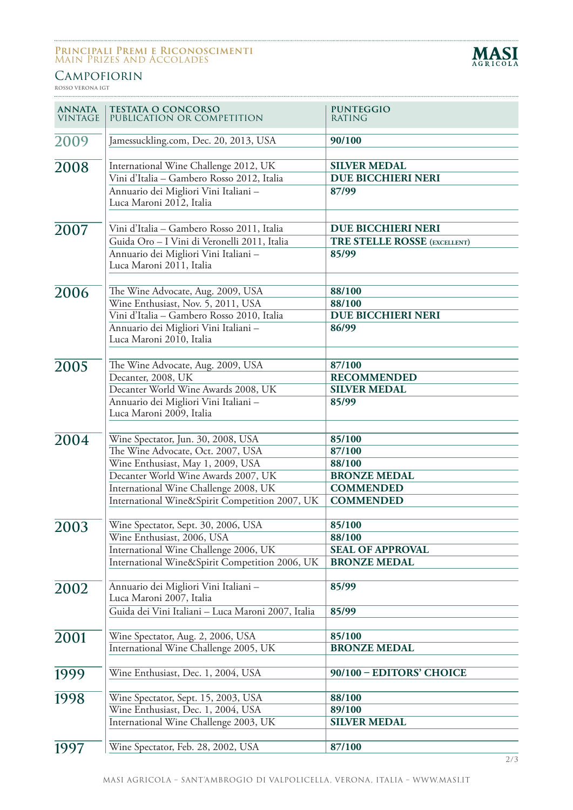#### **Principali Premi e Riconoscimenti** Main Prizes and Accolades



### **CAMPOFIORIN**

**ROSSO VERONA IGT**

| <b>ANNATA</b><br><b>VINTAGE</b> | <b>TESTATA O CONCORSO</b><br>PUBLICATION OR COMPETITION                                                                                                                                                                                        | <b>PUNTEGGIO</b><br><b>RATING</b>                                                         |
|---------------------------------|------------------------------------------------------------------------------------------------------------------------------------------------------------------------------------------------------------------------------------------------|-------------------------------------------------------------------------------------------|
| 2009                            | Jamessuckling.com, Dec. 20, 2013, USA                                                                                                                                                                                                          | 90/100                                                                                    |
| 2008                            | International Wine Challenge 2012, UK<br>Vini d'Italia - Gambero Rosso 2012, Italia<br>Annuario dei Migliori Vini Italiani -<br>Luca Maroni 2012, Italia                                                                                       | <b>SILVER MEDAL</b><br><b>DUE BICCHIERI NERI</b><br>87/99                                 |
| 2007                            | Vini d'Italia - Gambero Rosso 2011, Italia<br>Guida Oro - I Vini di Veronelli 2011, Italia<br>Annuario dei Migliori Vini Italiani -<br>Luca Maroni 2011, Italia                                                                                | <b>DUE BICCHIERI NERI</b><br><b>TRE STELLE ROSSE (EXCELLENT)</b><br>85/99                 |
| 2006                            | The Wine Advocate, Aug. 2009, USA<br>Wine Enthusiast, Nov. 5, 2011, USA<br>Vini d'Italia - Gambero Rosso 2010, Italia<br>Annuario dei Migliori Vini Italiani -<br>Luca Maroni 2010, Italia                                                     | 88/100<br>88/100<br><b>DUE BICCHIERI NERI</b><br>86/99                                    |
| 2005                            | The Wine Advocate, Aug. 2009, USA<br>Decanter, 2008, UK<br>Decanter World Wine Awards 2008, UK<br>Annuario dei Migliori Vini Italiani -<br>Luca Maroni 2009, Italia                                                                            | 87/100<br><b>RECOMMENDED</b><br><b>SILVER MEDAL</b><br>85/99                              |
| 2004                            | Wine Spectator, Jun. 30, 2008, USA<br>The Wine Advocate, Oct. 2007, USA<br>Wine Enthusiast, May 1, 2009, USA<br>Decanter World Wine Awards 2007, UK<br>International Wine Challenge 2008, UK<br>International Wine&Spirit Competition 2007, UK | 85/100<br>87/100<br>88/100<br><b>BRONZE MEDAL</b><br><b>COMMENDED</b><br><b>COMMENDED</b> |
| 2003                            | Wine Spectator, Sept. 30, 2006, USA<br>Wine Enthusiast, 2006, USA<br>International Wine Challenge 2006, UK<br>International Wine&Spirit Competition 2006, UK                                                                                   | 85/100<br>88/100<br><b>SEAL OF APPROVAL</b><br><b>BRONZE MEDAL</b>                        |
| 2002                            | Annuario dei Migliori Vini Italiani -<br>Luca Maroni 2007, Italia<br>Guida dei Vini Italiani - Luca Maroni 2007, Italia                                                                                                                        | 85/99<br>85/99                                                                            |
| 2001                            | Wine Spectator, Aug. 2, 2006, USA<br>International Wine Challenge 2005, UK                                                                                                                                                                     | 85/100<br><b>BRONZE MEDAL</b>                                                             |
| 1999                            | Wine Enthusiast, Dec. 1, 2004, USA                                                                                                                                                                                                             | 90/100 - EDITORS' CHOICE                                                                  |
| 1998                            | Wine Spectator, Sept. 15, 2003, USA<br>Wine Enthusiast, Dec. 1, 2004, USA<br>International Wine Challenge 2003, UK                                                                                                                             | 88/100<br>89/100<br><b>SILVER MEDAL</b>                                                   |
| 1997                            | Wine Spectator, Feb. 28, 2002, USA                                                                                                                                                                                                             | 87/100                                                                                    |